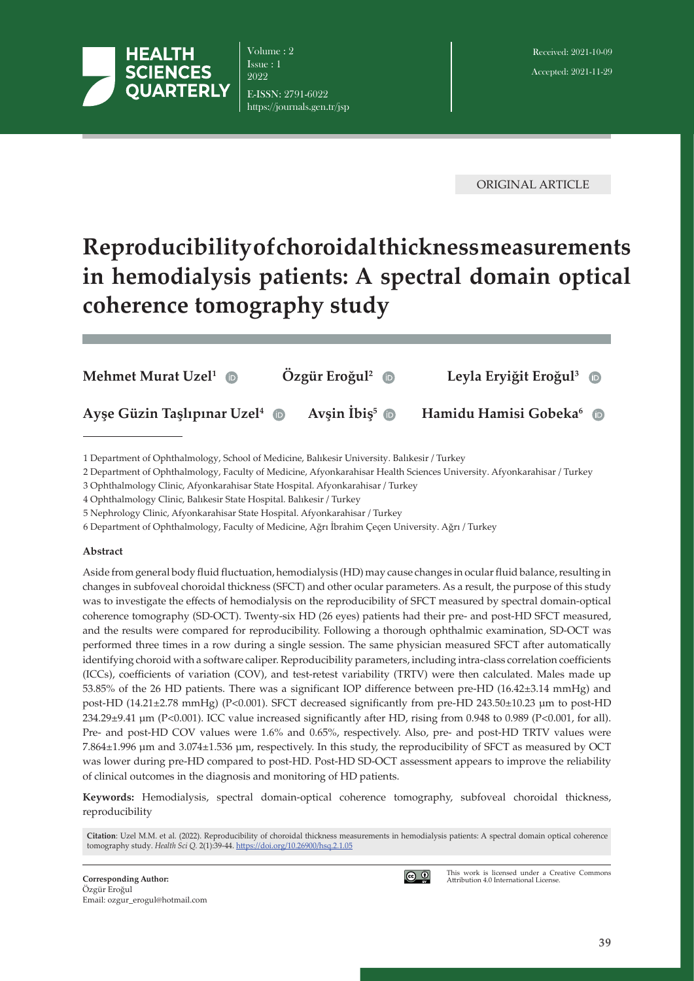

Volume : 2 Issue : 1 9099 E-ISSN: 2791-6022 https://journals.gen.tr/jsp

ORIGINAL ARTICLE

# **Reproducibility of choroidal thickness measurements in hemodialysis patients: A spectral domain optical coherence tomography study**

| Mehmet Murat Uzel <sup>1</sup> $\oplus$   | $\ddot{O}$ zgür Eroğul <sup>2</sup> <b>D</b> | Leyla Eryiğit Eroğul <sup>3</sup> $\bullet$ |
|-------------------------------------------|----------------------------------------------|---------------------------------------------|
| Ayse Güzin Taşlıpınar Uzel <sup>4</sup> D | Avsin $\text{Ibis}^5$ $\oplus$               | Hamidu Hamisi Gobeka <sup>6</sup>           |

1 Department of Ophthalmology, School of Medicine, Balıkesir University. Balıkesir / Turkey

2 Department of Ophthalmology, Faculty of Medicine, Afyonkarahisar Health Sciences University. Afyonkarahisar / Turkey

3 Ophthalmology Clinic, Afyonkarahisar State Hospital. Afyonkarahisar / Turkey

4 Ophthalmology Clinic, Balıkesir State Hospital. Balıkesir / Turkey

5 Nephrology Clinic, Afyonkarahisar State Hospital. Afyonkarahisar / Turkey

6 Department of Ophthalmology, Faculty of Medicine, Ağrı İbrahim Çeçen University. Ağrı / Turkey

#### **Abstract**

Aside from general body fluid fluctuation, hemodialysis (HD) may cause changes in ocular fluid balance, resulting in changes in subfoveal choroidal thickness (SFCT) and other ocular parameters. As a result, the purpose of this study was to investigate the effects of hemodialysis on the reproducibility of SFCT measured by spectral domain-optical coherence tomography (SD-OCT). Twenty-six HD (26 eyes) patients had their pre- and post-HD SFCT measured, and the results were compared for reproducibility. Following a thorough ophthalmic examination, SD-OCT was performed three times in a row during a single session. The same physician measured SFCT after automatically identifying choroid with a software caliper. Reproducibility parameters, including intra-class correlation coefficients (ICCs), coefficients of variation (COV), and test-retest variability (TRTV) were then calculated. Males made up 53.85% of the 26 HD patients. There was a significant IOP difference between pre-HD (16.42±3.14 mmHg) and post-HD (14.21±2.78 mmHg) (P<0.001). SFCT decreased significantly from pre-HD 243.50±10.23 μm to post-HD 234.29±9.41 μm (P<0.001). ICC value increased significantly after HD, rising from 0.948 to 0.989 (P<0.001, for all). Pre- and post-HD COV values were 1.6% and 0.65%, respectively. Also, pre- and post-HD TRTV values were 7.864±1.996 μm and 3.074±1.536 μm, respectively. In this study, the reproducibility of SFCT as measured by OCT was lower during pre-HD compared to post-HD. Post-HD SD-OCT assessment appears to improve the reliability of clinical outcomes in the diagnosis and monitoring of HD patients.

**Keywords:** Hemodialysis, spectral domain-optical coherence tomography, subfoveal choroidal thickness, reproducibility

**Citation**: Uzel M.M. et al. (2022). Reproducibility of choroidal thickness measurements in hemodialysis patients: A spectral domain optical coherence tomography study. *Health Sci Q.* 2(1):39-44. [https://doi.org/1](https://doi.org/)0.26900/hsq.2.1.05



This work is licensed under a Creative Commons Attribution 4.0 International License.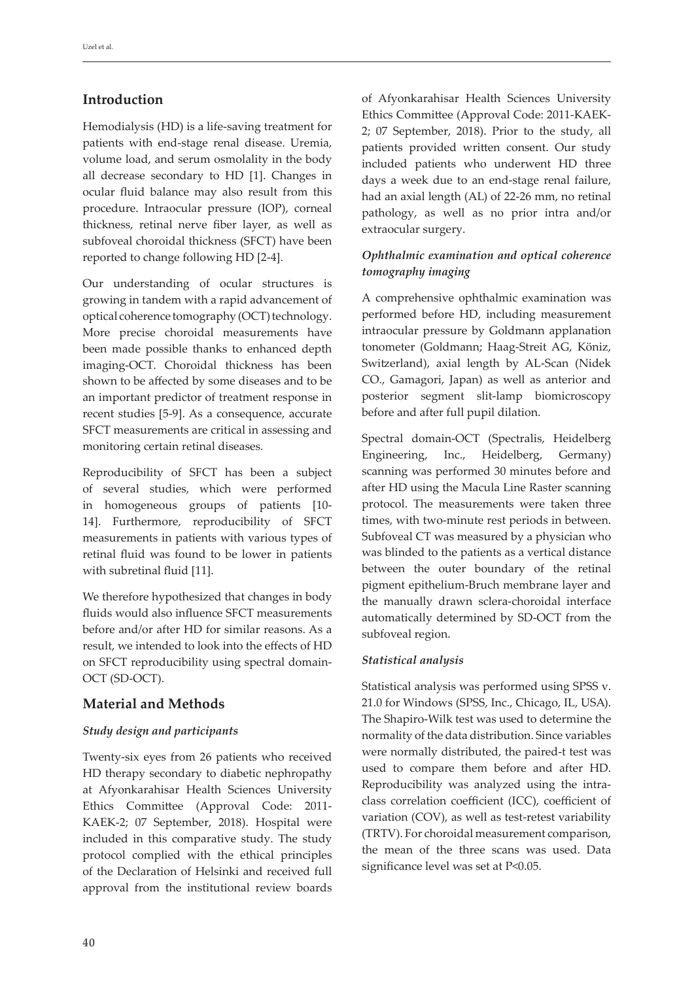# **Introduction**

Hemodialysis (HD) is a life-saving treatment for patients with end-stage renal disease. Uremia, volume load, and serum osmolality in the body all decrease secondary to HD [1]. Changes in ocular fluid balance may also result from this procedure. Intraocular pressure (IOP), corneal thickness, retinal nerve fiber layer, as well as subfoveal choroidal thickness (SFCT) have been reported to change following HD [2-4].

Our understanding of ocular structures is growing in tandem with a rapid advancement of optical coherence tomography (OCT) technology. More precise choroidal measurements have been made possible thanks to enhanced depth imaging-OCT. Choroidal thickness has been shown to be affected by some diseases and to be an important predictor of treatment response in recent studies [5-9]. As a consequence, accurate SFCT measurements are critical in assessing and monitoring certain retinal diseases.

Reproducibility of SFCT has been a subject of several studies, which were performed in homogeneous groups of patients [10- 14]. Furthermore, reproducibility of SFCT measurements in patients with various types of retinal fluid was found to be lower in patients with subretinal fluid [11].

We therefore hypothesized that changes in body fluids would also influence SFCT measurements before and/or after HD for similar reasons. As a result, we intended to look into the effects of HD on SFCT reproducibility using spectral domain-OCT (SD-OCT).

# **Material and Methods**

# *Study design and participants*

Twenty-six eyes from 26 patients who received HD therapy secondary to diabetic nephropathy at Afyonkarahisar Health Sciences University Ethics Committee (Approval Code: 2011- KAEK-2; 07 September, 2018). Hospital were included in this comparative study. The study protocol complied with the ethical principles of the Declaration of Helsinki and received full approval from the institutional review boards

of Afyonkarahisar Health Sciences University Ethics Committee (Approval Code: 2011-KAEK-2; 07 September, 2018). Prior to the study, all patients provided written consent. Our study included patients who underwent HD three days a week due to an end-stage renal failure, had an axial length (AL) of 22-26 mm, no retinal pathology, as well as no prior intra and/or extraocular surgery.

# *Ophthalmic examination and optical coherence tomography imaging*

A comprehensive ophthalmic examination was performed before HD, including measurement intraocular pressure by Goldmann applanation tonometer (Goldmann; Haag-Streit AG, Köniz, Switzerland), axial length by AL-Scan (Nidek CO., Gamagori, Japan) as well as anterior and posterior segment slit-lamp biomicroscopy before and after full pupil dilation.

Spectral domain-OCT (Spectralis, Heidelberg Engineering, Inc., Heidelberg, Germany) scanning was performed 30 minutes before and after HD using the Macula Line Raster scanning protocol. The measurements were taken three times, with two-minute rest periods in between. Subfoveal CT was measured by a physician who was blinded to the patients as a vertical distance between the outer boundary of the retinal pigment epithelium-Bruch membrane layer and the manually drawn sclera-choroidal interface automatically determined by SD-OCT from the subfoveal region.

# *Statistical analysis*

Statistical analysis was performed using SPSS v. 21.0 for Windows (SPSS, Inc., Chicago, IL, USA). The Shapiro-Wilk test was used to determine the normality of the data distribution. Since variables were normally distributed, the paired-t test was used to compare them before and after HD. Reproducibility was analyzed using the intraclass correlation coefficient (ICC), coefficient of variation (COV), as well as test-retest variability (TRTV). For choroidal measurement comparison, the mean of the three scans was used. Data significance level was set at P<0.05.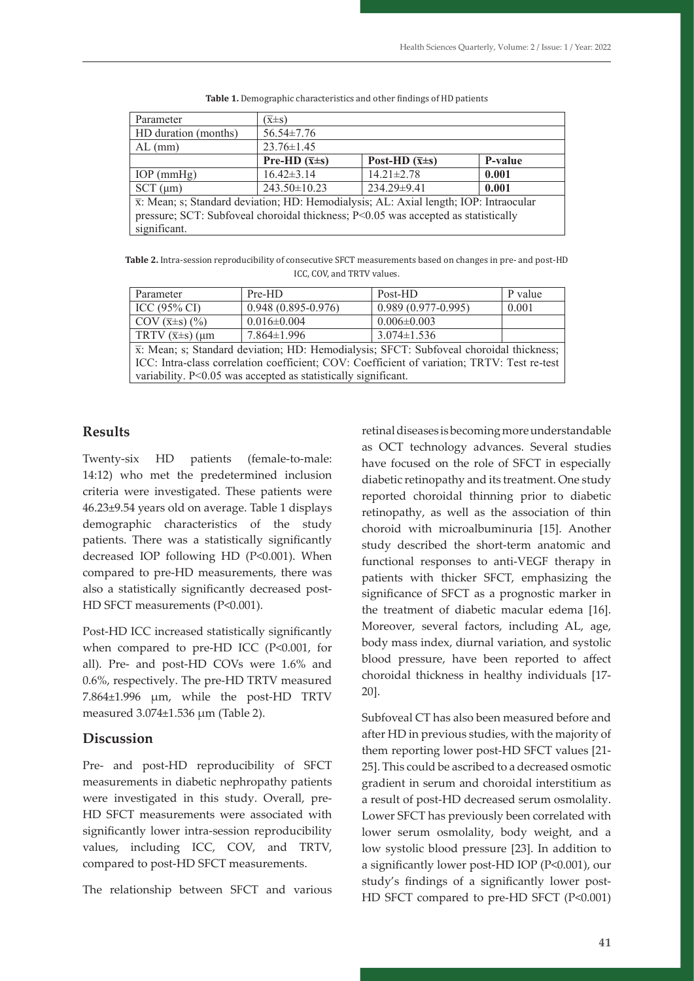| Parameter                                                                                                                                                                                                | $(\overline{x} \pm s)$   |                           |         |
|----------------------------------------------------------------------------------------------------------------------------------------------------------------------------------------------------------|--------------------------|---------------------------|---------|
| HD duration (months)                                                                                                                                                                                     | $56.54 \pm 7.76$         |                           |         |
| $AL$ (mm)                                                                                                                                                                                                | $23.76 \pm 1.45$         |                           |         |
|                                                                                                                                                                                                          | Pre-HD $(\bar{x} \pm s)$ | Post-HD $(\bar{x} \pm s)$ | P-value |
| $IOP$ (mmHg)                                                                                                                                                                                             | $16.42 \pm 3.14$         | $14.21 \pm 2.78$          | 0.001   |
| $SCT$ ( $\mu$ m)                                                                                                                                                                                         | $243.50 \pm 10.23$       | 234.29±9.41               | 0.001   |
| $\overline{x}$ : Mean; s; Standard deviation; HD: Hemodialysis; AL: Axial length; IOP: Intraocular<br>pressure; SCT: Subfoveal choroidal thickness; P<0.05 was accepted as statistically<br>significant. |                          |                           |         |

Table 1. Demographic characteristics and other findings of HD patients

IOP (mmHg) 16.42±3.14 14.21±2.78 **0.001**

**Table 2.** Intra-session reproducibility of consecutive SFCT measurements based on changes in pre- and post-HD ICC, COV, and TRTV values.

| Parameter                                                                                            | Pre-HD                 | Post-HD              | P value |  |  |
|------------------------------------------------------------------------------------------------------|------------------------|----------------------|---------|--|--|
| ICC (95% CI)                                                                                         | $0.948(0.895 - 0.976)$ | $0.989(0.977-0.995)$ | 0.001   |  |  |
| COV $(\overline{x} \pm s)$ $(\% )$                                                                   | $0.016 \pm 0.004$      | $0.006 \pm 0.003$    |         |  |  |
| TRTV $(\overline{x} \pm s)$ (µm                                                                      | $7.864 \pm 1.996$      | $3.074 \pm 1.536$    |         |  |  |
| $\overline{x}$ : Mean; s; Standard deviation; HD: Hemodialysis; SFCT: Subfoveal choroidal thickness; |                        |                      |         |  |  |
| ICC: Intra-class correlation coefficient; COV: Coefficient of variation; TRTV: Test re-test          |                        |                      |         |  |  |
| variability. P<0.05 was accepted as statistically significant.                                       |                        |                      |         |  |  |

**Results**

 $14:12$ ) who met the predetermined inclusion displacific retinonathy and its treatment ( criteria were investigated. These patients were **reproduci**ng criteria were investigated. These patients were 309 46.23±9.54 years old on average. Table 1 displays Twenty-six HD patients (female-to-male: demographic characteristics of the study patients. There was a statistically significantly decreased IOP following HD (P<0.001). When compared to pre-HD measurements, there was also a statistically significantly decreased post-HD SFCT measurements (P<0.001).

Post-HD ICC increased statistically significantly when compared to pre-HD ICC (P<0.001, for all). Pre- and post-HD COVs were 1.6% and 0.6%, respectively. The pre-HD TRTV measured 7.864±1.996 μm, while the post-HD TRTV measured 3.074±1.536 μm (Table 2).

### **Discussion**

Pre- and post-HD reproducibility of SFCT measurements in diabetic nephropathy patients were investigated in this study. Overall, pre-HD SFCT measurements were associated with significantly lower intra-session reproducibility values, including ICC, COV, and TRTV, compared to post-HD SFCT measurements.

The relationship between SFCT and various

retinal diseases is becoming more understandable as OCT technology advances. Several studies x HD patients (female-to-male: have focused on the role of SFCT in especially diabetic retinopathy and its treatment. One study reported choroidal thinning prior to diabetic retinopathy, as well as the association of thin choroid with microalbuminuria [15]. Another study described the short-term anatomic and functional responses to anti-VEGF therapy in patients with thicker SFCT, emphasizing the significance of SFCT as a prognostic marker in the treatment of diabetic macular edema [16]. Moreover, several factors, including AL, age, body mass index, diurnal variation, and systolic blood pressure, have been reported to affect choroidal thickness in healthy individuals [17- 20].

> 10 lower serum osmolality, body weight, and a 10 after HD in previous studies, with the majority of Subfoveal CT has also been measured before and them reporting lower post-HD SFCT values [21- 25]. This could be ascribed to a decreased osmotic gradient in serum and choroidal interstitium as a result of post-HD decreased serum osmolality. Lower SFCT has previously been correlated with low systolic blood pressure [23]. In addition to a significantly lower post-HD IOP (P<0.001), our study's findings of a significantly lower post-HD SFCT compared to pre-HD SFCT (P<0.001)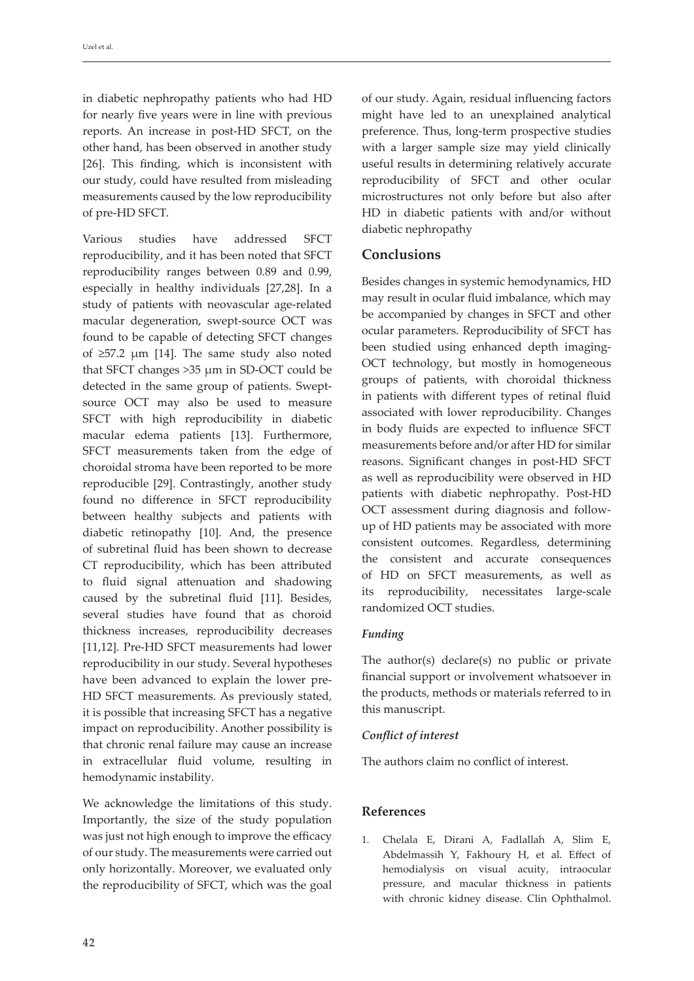in diabetic nephropathy patients who had HD for nearly five years were in line with previous reports. An increase in post-HD SFCT, on the other hand, has been observed in another study [26]. This finding, which is inconsistent with our study, could have resulted from misleading measurements caused by the low reproducibility of pre-HD SFCT.

Various studies have addressed SFCT reproducibility, and it has been noted that SFCT reproducibility ranges between 0.89 and 0.99, especially in healthy individuals [27,28]. In a study of patients with neovascular age-related macular degeneration, swept-source OCT was found to be capable of detecting SFCT changes of ≥57.2 μm [14]. The same study also noted that SFCT changes >35 μm in SD-OCT could be detected in the same group of patients. Sweptsource OCT may also be used to measure SFCT with high reproducibility in diabetic macular edema patients [13]. Furthermore, SFCT measurements taken from the edge of choroidal stroma have been reported to be more reproducible [29]. Contrastingly, another study found no difference in SFCT reproducibility between healthy subjects and patients with diabetic retinopathy [10]. And, the presence of subretinal fluid has been shown to decrease CT reproducibility, which has been attributed to fluid signal attenuation and shadowing caused by the subretinal fluid [11]. Besides, several studies have found that as choroid thickness increases, reproducibility decreases [11,12]. Pre-HD SFCT measurements had lower reproducibility in our study. Several hypotheses have been advanced to explain the lower pre-HD SFCT measurements. As previously stated, it is possible that increasing SFCT has a negative impact on reproducibility. Another possibility is that chronic renal failure may cause an increase in extracellular fluid volume, resulting in hemodynamic instability.

We acknowledge the limitations of this study. Importantly, the size of the study population was just not high enough to improve the efficacy of our study. The measurements were carried out only horizontally. Moreover, we evaluated only the reproducibility of SFCT, which was the goal of our study. Again, residual influencing factors might have led to an unexplained analytical preference. Thus, long-term prospective studies with a larger sample size may yield clinically useful results in determining relatively accurate reproducibility of SFCT and other ocular microstructures not only before but also after HD in diabetic patients with and/or without diabetic nephropathy

# **Conclusions**

Besides changes in systemic hemodynamics, HD may result in ocular fluid imbalance, which may be accompanied by changes in SFCT and other ocular parameters. Reproducibility of SFCT has been studied using enhanced depth imaging-OCT technology, but mostly in homogeneous groups of patients, with choroidal thickness in patients with different types of retinal fluid associated with lower reproducibility. Changes in body fluids are expected to influence SFCT measurements before and/or after HD for similar reasons. Significant changes in post-HD SFCT as well as reproducibility were observed in HD patients with diabetic nephropathy. Post-HD OCT assessment during diagnosis and followup of HD patients may be associated with more consistent outcomes. Regardless, determining the consistent and accurate consequences of HD on SFCT measurements, as well as its reproducibility, necessitates large-scale randomized OCT studies.

### *Funding*

The author(s) declare(s) no public or private financial support or involvement whatsoever in the products, methods or materials referred to in this manuscript.

### *Conflict of interest*

The authors claim no conflict of interest.

### **References**

1. Chelala E, Dirani A, Fadlallah A, Slim E, Abdelmassih Y, Fakhoury H, et al. Effect of hemodialysis on visual acuity, intraocular pressure, and macular thickness in patients with chronic kidney disease. Clin Ophthalmol.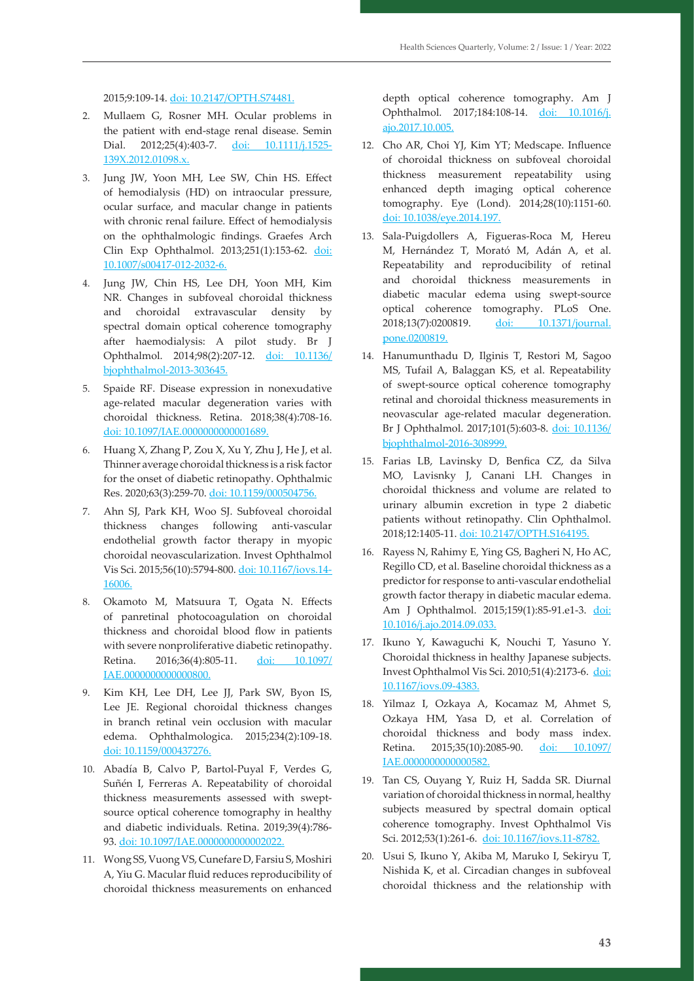2015;9:109-14. doi: 10.2147/OPTH.S74481.

- 2. Mullaem G, Rosner MH. Ocular problems in the patient with end-stage renal disease. Semin Dial. 2012;25(4):403-7. doi: 10.1111/j.1525-139X.2012.01098.x.
- 3. Jung JW, Yoon MH, Lee SW, Chin HS. Effect of hemodialysis (HD) on intraocular pressure, ocular surface, and macular change in patients with chronic renal failure. Effect of hemodialysis on the ophthalmologic findings. Graefes Arch Clin Exp Ophthalmol. 2013;251(1):153-62. doi: 10.1007/s00417-012-2032-6.
- 4. Jung JW, Chin HS, Lee DH, Yoon MH, Kim NR. Changes in subfoveal choroidal thickness and choroidal extravascular density by spectral domain optical coherence tomography after haemodialysis: A pilot study. Br J Ophthalmol. 2014;98(2):207-12. doi: 10.1136/ bjophthalmol-2013-303645.
- 5. Spaide RF. Disease expression in nonexudative age-related macular degeneration varies with choroidal thickness. Retina. 2018;38(4):708-16. doi: 10.1097/IAE.0000000000001689.
- 6. Huang X, Zhang P, Zou X, Xu Y, Zhu J, He J, et al. Thinner average choroidal thickness is a risk factor for the onset of diabetic retinopathy. Ophthalmic Res. 2020;63(3):259-70. doi: 10.1159/000504756.
- 7. Ahn SJ, Park KH, Woo SJ. Subfoveal choroidal thickness changes following anti-vascular endothelial growth factor therapy in myopic choroidal neovascularization. Invest Ophthalmol Vis Sci. 2015;56(10):5794-800. doi: 10.1167/iovs.14- 16006.
- 8. Okamoto M, Matsuura T, Ogata N. Effects of panretinal photocoagulation on choroidal thickness and choroidal blood flow in patients with severe nonproliferative diabetic retinopathy. Retina. 2016;36(4):805-11. doi: 10.1097/ IAE.0000000000000800.
- 9. Kim KH, Lee DH, Lee JJ, Park SW, Byon IS, Lee JE. Regional choroidal thickness changes in branch retinal vein occlusion with macular edema. Ophthalmologica. 2015;234(2):109-18. doi: 10.1159/000437276.
- 10. Abadía B, Calvo P, Bartol-Puyal F, Verdes G, Suñén I, Ferreras A. Repeatability of choroidal thickness measurements assessed with sweptsource optical coherence tomography in healthy and diabetic individuals. Retina. 2019;39(4):786- 93. doi: 10.1097/IAE.0000000000002022.
- 11. Wong SS, Vuong VS, Cunefare D, Farsiu S, Moshiri A, Yiu G. Macular fluid reduces reproducibility of choroidal thickness measurements on enhanced

depth optical coherence tomography. Am J Ophthalmol. 2017;184:108-14. doi: 10.1016/j. ajo.2017.10.005.

- 12. Cho AR, Choi YJ, Kim YT; Medscape. Influence of choroidal thickness on subfoveal choroidal thickness measurement repeatability using enhanced depth imaging optical coherence tomography. Eye (Lond). 2014;28(10):1151-60. doi: 10.1038/eye.2014.197.
- 13. Sala-Puigdollers A, Figueras-Roca M, Hereu M, Hernández T, Morató M, Adán A, et al. Repeatability and reproducibility of retinal and choroidal thickness measurements in diabetic macular edema using swept-source optical coherence tomography. PLoS One. 2018;13(7):0200819. doi: 10.1371/journal. pone.0200819.
- 14. Hanumunthadu D, Ilginis T, Restori M, Sagoo MS, Tufail A, Balaggan KS, et al. Repeatability of swept-source optical coherence tomography retinal and choroidal thickness measurements in neovascular age-related macular degeneration. Br J Ophthalmol. 2017;101(5):603-8. doi: 10.1136/ bjophthalmol-2016-308999.
- 15. Farias LB, Lavinsky D, Benfica CZ, da Silva MO, Lavisnky J, Canani LH. Changes in choroidal thickness and volume are related to urinary albumin excretion in type 2 diabetic patients without retinopathy. Clin Ophthalmol. 2018;12:1405-11. doi: 10.2147/OPTH.S164195.
- 16. Rayess N, Rahimy E, Ying GS, Bagheri N, Ho AC, Regillo CD, et al. Baseline choroidal thickness as a predictor for response to anti-vascular endothelial growth factor therapy in diabetic macular edema. Am J Ophthalmol. 2015;159(1):85-91.e1-3. doi: 10.1016/j.ajo.2014.09.033.
- 17. Ikuno Y, Kawaguchi K, Nouchi T, Yasuno Y. Choroidal thickness in healthy Japanese subjects. Invest Ophthalmol Vis Sci. 2010;51(4):2173-6. doi: 10.1167/iovs.09-4383.
- 18. Yilmaz I, Ozkaya A, Kocamaz M, Ahmet S, Ozkaya HM, Yasa D, et al. Correlation of choroidal thickness and body mass index. Retina. 2015;35(10):2085-90. doi: 10.1097/ IAE.0000000000000582.
- 19. Tan CS, Ouyang Y, Ruiz H, Sadda SR. Diurnal variation of choroidal thickness in normal, healthy subjects measured by spectral domain optical coherence tomography. Invest Ophthalmol Vis Sci. 2012;53(1):261-6. doi: 10.1167/iovs.11-8782.
- 20. Usui S, Ikuno Y, Akiba M, Maruko I, Sekiryu T, Nishida K, et al. Circadian changes in subfoveal choroidal thickness and the relationship with